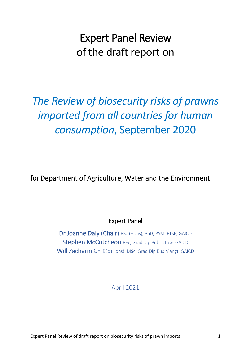# Expert Panel Review of the draft report on

# *The Review of biosecurity risks of prawns imported from all countries for human consumption*, September 2020

for Department of Agriculture, Water and the Environment

Expert Panel

Dr Joanne Daly (Chair) BSc (Hons), PhD, PSM, FTSE, GAICD Stephen McCutcheon BEc, Grad Dip Public Law, GAICD Will Zacharin CF, BSc (Hons), MSc, Grad Dip Bus Mangt, GAICD

April 2021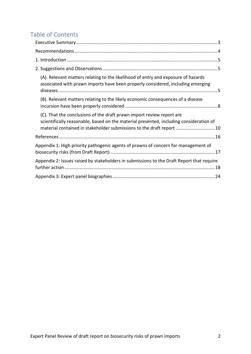# Table of Contents

| (A). Relevant matters relating to the likelihood of entry and exposure of hazards<br>associated with prawn imports have been properly considered, including emerging                                                                    |
|-----------------------------------------------------------------------------------------------------------------------------------------------------------------------------------------------------------------------------------------|
| (B). Relevant matters relating to the likely economic consequences of a disease                                                                                                                                                         |
| (C). That the conclusions of the draft prawn import review report are<br>scientifically reasonable, based on the material presented, including consideration of<br>material contained in stakeholder submissions to the draft report 10 |
|                                                                                                                                                                                                                                         |
| Appendix 1: High priority pathogenic agents of prawns of concern for management of                                                                                                                                                      |
| Appendix 2: Issues raised by stakeholders in submissions to the Draft Report that require                                                                                                                                               |
|                                                                                                                                                                                                                                         |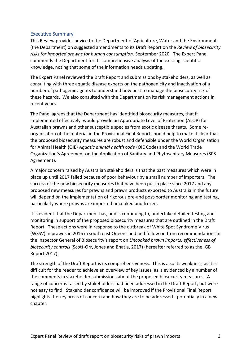## <span id="page-2-0"></span>Executive Summary

This Review provides advice to the Department of Agriculture, Water and the Environment (the Department) on suggested amendments to its Draft Report on the *Review of biosecurity risks for imported prawns for human consumption,* September 2020*.* The Expert Panel commends the Department for its comprehensive analysis of the existing scientific knowledge, noting that some of the information needs updating.

The Expert Panel reviewed the Draft Report and submissions by stakeholders, as well as consulting with three aquatic disease experts on the pathogenicity and inactivation of a number of pathogenic agents to understand how best to manage the biosecurity risk of these hazards. We also consulted with the Department on its risk management actions in recent years.

The Panel agrees that the Department has identified biosecurity measures, that if implemented effectively, would provide an Appropriate Level of Protection (ALOP) for Australian prawns and other susceptible species from exotic disease threats. Some reorganisation of the material in the Provisional Final Report should help to make it clear that the proposed biosecurity measures are robust and defensible under the World Organisation for Animal Health (OIE) *Aquatic animal health code* (OIE Code) and the World Trade Organization's Agreement on the Application of Sanitary and Phytosanitary Measures (SPS Agreement).

A major concern raised by Australian stakeholders is that the past measures which were in place up until 2017 failed because of poor behaviour by a small number of importers. The success of the new biosecurity measures that have been put in place since 2017 and any proposed new measures for prawns and prawn products exported to Australia in the future will depend on the implementation of rigorous pre-and post-border monitoring and testing, particularly where prawns are imported uncooked and frozen.

It is evident that the Department has, and is continuing to, undertake detailed testing and monitoring in support of the proposed biosecurity measures that are outlined in the Draft Report. These actions were in response to the outbreak of White Spot Syndrome Virus (WSSV) in prawns in 2016 in south east Queensland and follow on from recommendations in the Inspector General of Biosecurity's report on *Uncooked prawn imports: effectiveness of biosecurity controls* (Scott-Orr, Jones and Bhatia, 2017) (hereafter referred to as the IGB Report 2017).

The strength of the Draft Report is its comprehensiveness. This is also its weakness, as it is difficult for the reader to achieve an overview of key issues, as is evidenced by a number of the comments in stakeholder submissions about the proposed biosecurity measures. A range of concerns raised by stakeholders had been addressed in the Draft Report, but were not easy to find. Stakeholder confidence will be improved if the Provisional Final Report highlights the key areas of concern and how they are to be addressed - potentially in a new chapter.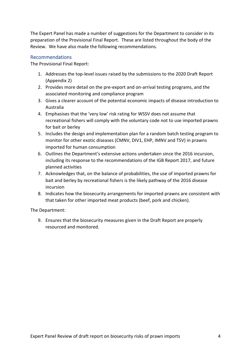The Expert Panel has made a number of suggestions for the Department to consider in its preparation of the Provisional Final Report. These are listed throughout the body of the Review. We have also made the following recommendations.

# <span id="page-3-0"></span>Recommendations

The Provisional Final Report:

- 1. Addresses the top-level issues raised by the submissions to the 2020 Draft Report (Appendix 2)
- 2. Provides more detail on the pre-export and on-arrival testing programs, and the associated monitoring and compliance program
- 3. Gives a clearer account of the potential economic impacts of disease introduction to Australia
- 4. Emphasises that the 'very low' risk rating for WSSV does not assume that recreational fishers will comply with the voluntary code not to use imported prawns for bait or berley
- 5. Includes the design and implementation plan for a random batch testing program to monitor for other exotic diseases (CMNV, DIV1, EHP, IMNV and TSV) in prawns imported for human consumption
- 6. Outlines the Department's extensive actions undertaken since the 2016 incursion, including its response to the recommendations of the IGB Report 2017, and future planned activities
- 7. Acknowledges that, on the balance of probabilities, the use of imported prawns for bait and berley by recreational fishers is the likely pathway of the 2016 disease incursion
- 8. Indicates how the biosecurity arrangements for imported prawns are consistent with that taken for other imported meat products (beef, pork and chicken).

The Department:

9. Ensures that the biosecurity measures given in the Draft Report are properly resourced and monitored.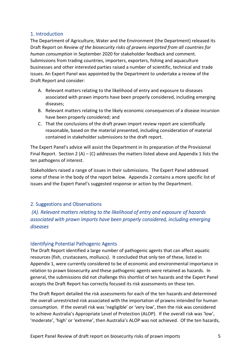# <span id="page-4-0"></span>1. Introduction

The Department of Agriculture, Water and the Environment (the Department) released its Draft Report on *Review of the biosecurity risks of prawns imported from all countries for human consumption* in September 2020 for stakeholder feedback and comment. Submissions from trading countries, importers, exporters, fishing and aquaculture businesses and other interested parties raised a number of scientific, technical and trade issues. An Expert Panel was appointed by the Department to undertake a review of the Draft Report and consider:

- A. Relevant matters relating to the likelihood of entry and exposure to diseases associated with prawn imports have been properly considered, including emerging diseases;
- B. Relevant matters relating to the likely economic consequences of a disease incursion have been properly considered; and
- C. That the conclusions of the draft prawn import review report are scientifically reasonable, based on the material presented, including consideration of material contained in stakeholder submissions to the draft report.

The Expert Panel's advice will assist the Department in its preparation of the Provisional Final Report. Section 2 (A) – (C) addresses the matters listed above and Appendix 1 lists the ten pathogens of interest.

Stakeholders raised a range of issues in their submissions. The Expert Panel addressed some of these in the body of the report below. Appendix 2 contains a more specific list of issues and the Expert Panel's suggested response or action by the Department.

# <span id="page-4-1"></span>2. Suggestions and Observations

# <span id="page-4-2"></span> *(A). Relevant matters relating to the likelihood of entry and exposure of hazards associated with prawn imports have been properly considered, including emerging diseases*

## Identifying Potential Pathogenic Agents

The Draft Report identified a large number of pathogenic agents that can affect aquatic resources (fish, crustaceans, molluscs). It concluded that only ten of these, listed in Appendix 1, were currently considered to be of economic and environmental importance in relation to prawn biosecurity and these pathogenic agents were retained as hazards. In general, the submissions did not challenge this shortlist of ten hazards and the Expert Panel accepts the Draft Report has correctly focused its risk assessments on these ten.

The Draft Report detailed the risk assessments for each of the ten hazards and determined the overall unrestricted risk associated with the importation of prawns intended for human consumption. If the overall risk was 'negligible' or 'very low', then the risk was considered to achieve Australia's Appropriate Level of Protection (ALOP). If the overall risk was 'low', 'moderate', 'high' or 'extreme', then Australia's ALOP was not achieved. Of the ten hazards,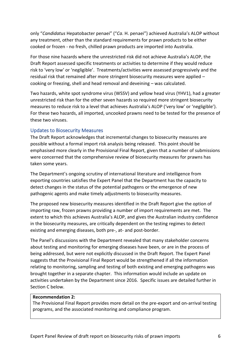only "*Candidatus* Hepatobacter penaei" ("*Ca*. H. penaei") achieved Australia's ALOP without any treatment, other than the standard requirements for prawn products to be either cooked or frozen - no fresh, chilled prawn products are imported into Australia.

For those nine hazards where the unrestricted risk did not achieve Australia's ALOP, the Draft Report assessed specific treatments or activities to determine if they would reduce risk to 'very low' or 'negligible'. Treatments/activities were assessed progressively and the residual risk that remained after more stringent biosecurity measures were applied – cooking or freezing, shell and head removal and deveining – was calculated.

Two hazards, white spot syndrome virus (WSSV) and yellow head virus (YHV1), had a greater unrestricted risk than for the other seven hazards so required more stringent biosecurity measures to reduce risk to a level that achieves Australia's ALOP ('very low' or 'negligible'). For these two hazards, all imported, uncooked prawns need to be tested for the presence of these two viruses.

# Updates to Biosecurity Measures

The Draft Report acknowledges that incremental changes to biosecurity measures are possible without a formal import risk analysis being released. This point should be emphasised more clearly in the Provisional Final Report, given that a number of submissions were concerned that the comprehensive review of biosecurity measures for prawns has taken some years.

The Department's ongoing scrutiny of international literature and intelligence from exporting countries satisfies the Expert Panel that the Department has the capacity to detect changes in the status of the potential pathogens or the emergence of new pathogenic agents and make timely adjustments to biosecurity measures.

The proposed new biosecurity measures identified in the Draft Report give the option of importing raw, frozen prawns providing a number of import requirements are met. The extent to which this achieves Australia's ALOP, and gives the Australian industry confidence in the biosecurity measures, are critically dependent on the testing regimes to detect existing and emerging diseases, both pre-, at- and post-border.

The Panel's discussions with the Department revealed that many stakeholder concerns about testing and monitoring for emerging diseases have been, or are in the process of being addressed, but were not explicitly discussed in the Draft Report. The Expert Panel suggests that the Provisional Final Report would be strengthened if all the information relating to monitoring, sampling and testing of both existing and emerging pathogens was brought together in a separate chapter. This information would include an update on activities undertaken by the Department since 2016. Specific issues are detailed further in Section C below.

#### **Recommendation 2:**

The Provisional Final Report provides more detail on the pre-export and on-arrival testing programs, and the associated monitoring and compliance program.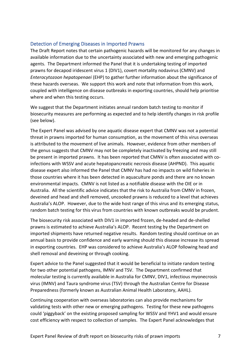# Detection of Emerging Diseases in Imported Prawns

The Draft Report notes that certain pathogenic hazards will be monitored for any changes in available information due to the uncertainty associated with new and emerging pathogenic agents. The Department informed the Panel that it is undertaking testing of imported prawns for decapod iridescent virus 1 (DIV1), covert mortality nodavirus (CMNV) and *Enterocytozoon hepatopenaei* (EHP) to gather further information about the significance of these hazards overseas. We support this work and note that information from this work, coupled with intelligence on disease outbreaks in exporting countries, should help prioritise where and when this testing occurs.

We suggest that the Department initiates annual random batch testing to monitor if biosecurity measures are performing as expected and to help identify changes in risk profile (see below).

The Expert Panel was advised by one aquatic disease expert that CMNV was not a potential threat in prawns imported for human consumption, as the movement of this virus overseas is attributed to the movement of live animals. However, evidence from other members of the genus suggests that CMNV may not be completely inactivated by freezing and may still be present in imported prawns. It has been reported that CMNV is often associated with coinfections with WSSV and acute hepatopancreatic necrosis disease (AHPND). This aquatic disease expert also informed the Panel that CMNV has had no impacts on wild fisheries in those countries where it has been detected in aquaculture ponds and there are no known environmental impacts. CMNV is not listed as a notifiable disease with the OIE or in Australia. All the scientific advice indicates that the risk to Australia from CMNV in frozen, deveined and head and shell removed, uncooked prawns is reduced to a level that achieves Australia's ALOP. However, due to the wide host range of this virus and its emerging status, random batch testing for this virus from countries with known outbreaks would be prudent.

The biosecurity risk associated with DIV1 in imported frozen, de-headed and de-shelled prawns is estimated to achieve Australia's ALOP. Recent testing by the Department on imported shipments have returned negative results. Random testing should continue on an annual basis to provide confidence and early warning should this disease increase its spread in exporting countries. EHP was considered to achieve Australia's ALOP following head and shell removal and deveining or through cooking.

Expert advice to the Panel suggested that it would be beneficial to initiate random testing for two other potential pathogens, IMNV and TSV. The Department confirmed that molecular testing is currently available in Australia for CMNV, DIV1, infectious myonecrosis virus (IMNV) and Taura syndrome virus (TSV) through the Australian Centre for Disease Preparedness (formerly known as Australian Animal Health Laboratory, AAHL).

Continuing cooperation with overseas laboratories can also provide mechanisms for validating tests with other new or emerging pathogens. Testing for these new pathogens could 'piggyback' on the existing proposed sampling for WSSV and YHV1 and would ensure cost efficiency with respect to collection of samples. The Expert Panel acknowledges that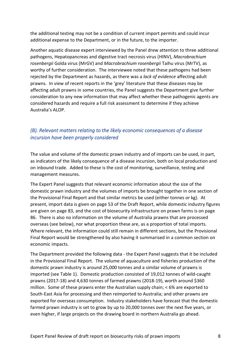the additional testing may not be a condition of current import permits and could incur additional expense to the Department, or in the future, to the importer.

Another aquatic disease expert interviewed by the Panel drew attention to three additional pathogens, Hepatopancreas and digestive tract necrosis virus (HINV), *Macrobrachium rosenbergii* Golda virus (MrGV) and *Macrobrachium rosenbergii* Taihu virus (MrTV), as worthy of further consideration. The interviewee noted that these pathogens had been rejected by the Department as hazards, as there was a *lack of evidence* affecting adult prawns. In view of recent reports in the 'grey' literature that these diseases may be affecting adult prawns in some countries, the Panel suggests the Department give further consideration to any new information that may affect whether these pathogenic agents are considered hazards and require a full risk assessment to determine if they achieve Australia's ALOP.

# <span id="page-7-0"></span>*(B). Relevant matters relating to the likely economic consequences of a disease incursion have been properly considered*

The value and volume of the domestic prawn industry and of imports can be used, in part, as indicators of the likely consequence of a disease incursion, both on local production and on inbound trade. Added to these is the cost of monitoring, surveillance, testing and management measures.

The Expert Panel suggests that relevant economic information about the size of the domestic prawn industry and the volumes of imports be brought together in one section of the Provisional Final Report and that similar metrics be used (either tonnes *or* kg). At present, import data is given on page 53 of the Draft Report, while domestic industry figures are given on page 83, and the cost of biosecurity infrastructure on prawn farms is on page 86. There is also no information on the volume of Australia prawns that are processed overseas (see below), nor what proportion these are, as a proportion of total imports. Where relevant, the information could still remain in different sections, but the Provisional Final Report would be strengthened by also having it summarised in a common section on economic impacts.

The Department provided the following data - the Expert Panel suggests that it be included in the Provisional Final Report. The volume of aquaculture and fisheries production of the domestic prawn industry is around 25,000 tonnes and a similar volume of prawns is imported (see Table 1). Domestic production consisted of 19,012 tonnes of wild-caught prawns (2017-18) and 4,630 tonnes of farmed prawns (2018-19), worth around \$360 million. Some of these prawns enter the Australian supply chain; < 6% are exported to South-East Asia for processing and then reimported to Australia; and other prawns are exported for overseas consumption. Industry stakeholders have forecast that the domestic farmed prawn industry is set to grow by up to 20,000 tonnes over the next five years, or even higher, if large projects on the drawing board in northern Australia go ahead.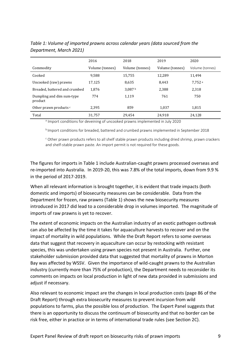|                                      | 2016            | 2018               | 2019            | 2020            |
|--------------------------------------|-----------------|--------------------|-----------------|-----------------|
| Commodity                            | Volume (tonnes) | Volume (tonnes)    | Volume (tonnes) | Volume (tonnes) |
| Cooked                               | 9,588           | 15,755             | 12,289          | 11.494          |
| Uncooked (raw) prawns                | 17,125          | 8.635              | 8.443           | 7.752 a         |
| Breaded, battered and crumbed        | 1.876           | 3.087 <sup>b</sup> | 2,388           | 2,318           |
| Dumpling and dim sum-type<br>product | 774             | 1.119              | 761             | 750             |
| Other prawn products $\epsilon$      | 2.395           | 859                | 1,037           | 1,815           |
| Total                                | 31,757          | 29,454             | 24,918          | 24,128          |

*Table 1: Volume of imported prawns across calendar years (data sourced from the Department, March 2021)*

<sup>a</sup> Import conditions for deveining of uncooked prawns implemented in July 2020

<sup>b</sup> Import conditions for breaded, battered and crumbed prawns implemented in September 2018

<sup>c</sup> Other prawn products refers to all shelf stable prawn products including dried shrimp, prawn crackers and shelf-stable prawn paste. An import permit is not required for these goods.

The figures for imports in Table 1 include Australian-caught prawns processed overseas and re-imported into Australia. In 2019-20, this was 7.8% of the total imports, down from 9.9 % in the period of 2017-2019.

When all relevant information is brought together, it is evident that trade impacts (both domestic and imports) of biosecurity measures can be considerable. Data from the Department for frozen, raw prawns (Table 1) shows the new biosecurity measures introduced in 2017 did lead to a considerable drop in volumes imported. The magnitude of imports of raw prawns is yet to recover.

The extent of economic impacts on the Australian industry of an exotic pathogen outbreak can also be affected by the time it takes for aquaculture harvests to recover and on the impact of mortality in wild populations. While the Draft Report refers to some overseas data that suggest that recovery in aquaculture can occur by restocking with resistant species, this was undertaken using prawn species not present in Australia. Further, one stakeholder submission provided data that suggested that mortality of prawns in Morton Bay was affected by WSSV. Given the importance of wild-caught prawns to the Australian industry (currently more than 75% of production), the Department needs to reconsider its comments on impacts on local production in light of new data provided in submissions and adjust if necessary.

Also relevant to economic impact are the changes in local production costs (page 86 of the Draft Report) through extra biosecurity measures to prevent incursion from wild populations to farms, plus the possible loss of production. The Expert Panel suggests that there is an opportunity to discuss the continuum of biosecurity and that no border can be risk free, either in practice or in terms of international trade rules (see Section 2C).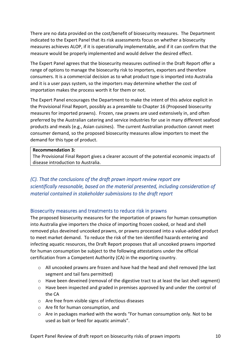There are no data provided on the cost/benefit of biosecurity measures. The Department indicated to the Expert Panel that its risk assessments focus on whether a biosecurity measures achieves ALOP, if it is operationally implementable, and if it can confirm that the measure would be properly implemented and would deliver the desired effect.

The Expert Panel agrees that the biosecurity measures outlined in the Draft Report offer a range of options to manage the biosecurity risk to importers, exporters and therefore consumers. It is a commercial decision as to what product type is imported into Australia and it is a user pays system, so the importers may determine whether the cost of importation makes the process worth it for them or not*.*

The Expert Panel encourages the Department to make the intent of this advice explicit in the Provisional Final Report, possibly as a preamble to Chapter 16 (Proposed biosecurity measures for imported prawns). Frozen, raw prawns are used extensively in, and often preferred by the Australian catering and service industries for use in many different seafood products and meals (e.g., Asian cuisines). The current Australian production cannot meet consumer demand, so the proposed biosecurity measures allow importers to meet the demand for this type of product.

#### **Recommendation 3:**

The Provisional Final Report gives a clearer account of the potential economic impacts of disease introduction to Australia.

<span id="page-9-0"></span>*(C). That the conclusions of the draft prawn import review report are scientifically reasonable, based on the material presented, including consideration of material contained in stakeholder submissions to the draft report* 

# Biosecurity measures and treatments to reduce risk in prawns

The proposed biosecurity measures for the importation of prawns for human consumption into Australia give importers the choice of importing frozen cooked, or head and shell removed plus deveined uncooked prawns, or prawns processed into a value-added product to meet market demand. To reduce the risk of the ten identified hazards entering and infecting aquatic resources, the Draft Report proposes that all uncooked prawns imported for human consumption be subject to the following attestations under the official certification from a Competent Authority (CA) in the exporting country.

- o All uncooked prawns are frozen and have had the head and shell removed (the last segment and tail fans permitted)
- $\circ$  Have been deveined (removal of the digestive tract to at least the last shell segment)
- o Have been inspected and graded in premises approved by and under the control of the CA
- o Are free from visible signs of infectious diseases
- o Are fit for human consumption, and
- $\circ$  Are in packages marked with the words "For human consumption only. Not to be used as bait or feed for aquatic animals".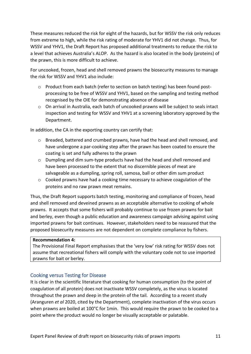These measures reduced the risk for eight of the hazards, but for WSSV the risk only reduces from extreme to high, while the risk rating of moderate for YHV1 did not change. Thus, for WSSV and YHV1, the Draft Report has proposed additional treatments to reduce the risk to a level that achieves Australia's ALOP. As the hazard is also located in the body (proteins) of the prawn, this is more difficult to achieve.

For uncooked, frozen, head and shell removed prawns the biosecurity measures to manage the risk for WSSV and YHV1 also include:

- o Product from each batch (refer to section on batch testing) has been found postprocessing to be free of WSSV and YHV1, based on the sampling and testing method recognised by the OIE for demonstrating absence of disease
- o On arrival in Australia, each batch of uncooked prawns will be subject to seals intact inspection and testing for WSSV and YHV1 at a screening laboratory approved by the Department.

In addition, the CA in the exporting country can certify that:

- o Breaded, battered and crumbed prawns, have had the head and shell removed, and have undergone a par-cooking step after the prawn has been coated to ensure the coating is set and fully adheres to the prawn
- o Dumpling and dim sum-type products have had the head and shell removed and have been processed to the extent that no discernible pieces of meat are salvageable as a dumpling, spring roll, samosa, ball or other dim sum product
- o Cooked prawns have had a cooking time necessary to achieve coagulation of the proteins and no raw prawn meat remains.

Thus, the Draft Report supports batch testing, monitoring and compliance of frozen, head and shell removed and deveined prawns as an acceptable alternative to cooking of whole prawns. It accepts that some fishers will probably continue to use frozen prawns for bait and berley, even though a public education and awareness campaign advising against using imported prawns for bait continues. However, stakeholders need to be reassured that the proposed biosecurity measures are not dependent on complete compliance by fishers.

#### **Recommendation 4:**

The Provisional Final Report emphasises that the 'very low' risk rating for WSSV does not assume that recreational fishers will comply with the voluntary code not to use imported prawns for bait or berley.

# Cooking versus Testing for Disease

It is clear in the scientific literature that cooking for human consumption (to the point of coagulation of all protein) does not inactivate WSSV completely, as the virus is located throughout the prawn and deep in the protein of the tail. According to a recent study (Aranguren *et al* 2020, cited by the Department), complete inactivation of the virus occurs when prawns are boiled at 100°C for 1min. This would require the prawn to be cooked to a point where the product would no longer be visually acceptable or palatable.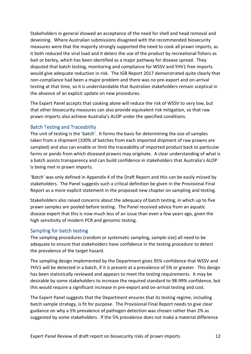Stakeholders in general showed an acceptance of the need for shell and head removal and deveining. Where Australian submissions disagreed with the recommended biosecurity measures were that the majority strongly supported the need to cook all prawn imports, as it both reduced the viral load and it deters the use of the product by recreational fishers as bait or berley, which has been identified as a major pathway for disease spread. They disputed that batch testing, monitoring and compliance for WSSV and YHV1 free imports would give adequate reduction in risk. The IGB Report 2017 demonstrated quite clearly that non-compliance had been a major problem and there was no pre-export and on-arrival testing at that time, so it is understandable that Australian stakeholders remain sceptical in the absence of an explicit update on new procedures.

The Expert Panel accepts that cooking alone will reduce the risk of WSSV to very low, but that other biosecurity measures can also provide equivalent risk mitigation, so that raw prawn imports also achieve Australia's ALOP under the specified conditions.

## Batch Testing and Traceability

The unit of testing is the 'batch'. It forms the basis for determining the size of samples taken from a shipment (100% of batches from each imported shipment of raw prawns are sampled) and also can enable or limit the traceability of imported product back to particular farms or ponds from which diseased prawns may originate. A clear understanding of what is a batch assists transparency and can build confidence in stakeholders that Australia's ALOP is being met in prawn imports.

'Batch' was only defined in Appendix 4 of the Draft Report and this can be easily missed by stakeholders. The Panel suggests such a critical definition be given in the Provisional Final Report as a more explicit statement in the proposed new chapter on sampling and testing.

Stakeholders also raised concerns about the adequacy of batch testing, in which up to five prawn samples are pooled before testing. The Panel received advice from an aquatic disease expert that this is now much less of an issue than even a few years ago, given the high sensitivity of modern PCR and genomic testing.

#### Sampling for batch testing

The sampling procedures (random or systematic sampling, sample size) all need to be adequate to ensure that stakeholders have confidence in the testing procedure to detect the prevalence of the target hazard.

The sampling design implemented by the Department gives 95% confidence that WSSV and YHV1 will be detected in a batch, if it is present at a prevalence of 5% or greater. This design has been statistically reviewed and appears to meet the testing requirements. It may be desirable by some stakeholders to increase the required standard to 98-99% confidence, but this would require a significant increase in pre-export and on-arrival testing and cost.

The Expert Panel suggests that the Department ensures that its testing regime, including batch sample strategy, is fit for purpose. The Provisional Final Report needs to give clear guidance on why a 5% prevalence of pathogen detection was chosen rather than 2% as suggested by some stakeholders. If the 5% prevalence does not make a material difference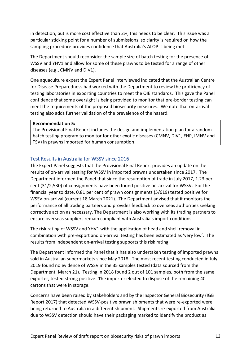in detection, but is more cost effective than 2%, this needs to be clear. This issue was a particular sticking point for a number of submissions, so clarity is required on how the sampling procedure provides confidence that Australia's ALOP is being met.

The Department should reconsider the sample size of batch testing for the presence of WSSV and YHV1 and allow for some of these prawns to be tested for a range of other diseases (e.g., CMNV and DIV1).

One aquaculture expert the Expert Panel interviewed indicated that the Australian Centre for Disease Preparedness had worked with the Department to review the proficiency of testing laboratories in exporting countries to meet the OIE standards. This gave the Panel confidence that some oversight is being provided to monitor that pre-border testing can meet the requirements of the proposed biosecurity measures. We note that on-arrival testing also adds further validation of the prevalence of the hazard.

#### **Recommendation 5:**

The Provisional Final Report includes the design and implementation plan for a random batch testing program to monitor for other exotic diseases (CMNV, DIV1, EHP, IMNV and TSV) in prawns imported for human consumption.

## Test Results in Australia for WSSV since 2016

The Expert Panel suggests that the Provisional Final Report provides an update on the results of on-arrival testing for WSSV in imported prawns undertaken since 2017. The Department informed the Panel that since the resumption of trade in July 2017, 1.23 per cent (31/2,530) of consignments have been found positive on-arrival for WSSV. For the financial year to date, 0.81 per cent of prawn consignments (5/619) tested positive for WSSV on-arrival (current 18 March 2021). The Department advised that it monitors the performance of all trading partners and provides feedback to overseas authorities seeking corrective action as necessary. The Department is also working with its trading partners to ensure overseas suppliers remain compliant with Australia's import conditions.

The risk rating of WSSV and YHV1 with the application of head and shell removal in combination with pre-export and on-arrival testing has been estimated as 'very low'. The results from independent on-arrival testing supports this risk rating.

The Department informed the Panel that it has also undertaken testing of imported prawns sold in Australian supermarkets since May 2018. The most recent testing conducted in July 2019 found no evidence of WSSV in the 35 samples tested (data sourced from the Department, March 21). Testing in 2018 found 2 out of 101 samples, both from the same exporter, tested strong positive. The importer elected to dispose of the remaining 40 cartons that were in storage.

Concerns have been raised by stakeholders and by the Inspector General Biosecurity (IGB Report 2017) that detected WSSV-positive prawn shipments that were re-exported were being returned to Australia in a different shipment. Shipments re-exported from Australia due to WSSV detection should have their packaging marked to identify the product as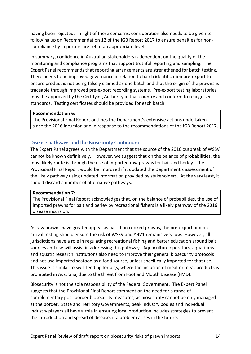having been rejected. In light of these concerns, consideration also needs to be given to following up on Recommendation 12 of the IGB Report 2017 to ensure penalties for noncompliance by importers are set at an appropriate level.

In summary, confidence in Australian stakeholders is dependent on the quality of the monitoring and compliance programs that support truthful reporting and sampling. The Expert Panel recommends that reporting arrangements are strengthened for batch testing. There needs to be improved governance in relation to batch identification pre-export to ensure product is not being falsely claimed as one batch and that the origin of the prawns is traceable through improved pre-export recording systems. Pre-export testing laboratories must be approved by the Certifying Authority in that country and conform to recognised standards. Testing certificates should be provided for each batch.

#### **Recommendation 6:**

The Provisional Final Report outlines the Department's extensive actions undertaken since the 2016 incursion and in response to the recommendations of the IGB Report 2017.

#### Disease pathways and the Biosecurity Continuum

The Expert Panel agrees with the Department that the source of the 2016 outbreak of WSSV cannot be known definitively. However, we suggest that on the balance of probabilities, the most likely route is through the use of imported raw prawns for bait and berley. The Provisional Final Report would be improved if it updated the Department's assessment of the likely pathway using updated information provided by stakeholders. At the very least, it should discard a number of alternative pathways.

#### **Recommendation 7:**

The Provisional Final Report acknowledges that, on the balance of probabilities, the use of imported prawns for bait and berley by recreational fishers is a likely pathway of the 2016 disease incursion.

As raw prawns have greater appeal as bait than cooked prawns, the pre-export and onarrival testing should ensure the risk of WSSV and YHV1 remains very low. However, all jurisdictions have a role in regulating recreational fishing and better education around bait sources and use will assist in addressing this pathway. Aquaculture operators, aquariums and aquatic research institutions also need to improve their general biosecurity protocols and not use imported seafood as a food source, unless specifically imported for that use. This issue is similar to swill feeding for pigs, where the inclusion of meat or meat products is prohibited in Australia, due to the threat from Foot and Mouth Disease (FMD).

Biosecurity is not the sole responsibility of the Federal Government. The Expert Panel suggests that the Provisional Final Report comment on the need for a range of complementary post-border biosecurity measures, as biosecurity cannot be only managed at the border. State and Territory Governments, peak industry bodies and individual industry players all have a role in ensuring local production includes strategies to prevent the introduction and spread of disease, if a problem arises in the future.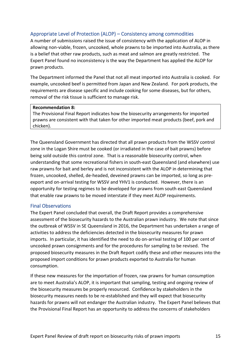# Appropriate Level of Protection (ALOP) – Consistency among commodities

A number of submissions raised the issue of consistency with the application of ALOP in allowing non-viable, frozen, uncooked, whole prawns to be imported into Australia, as there is a belief that other raw products, such as meat and salmon are greatly restricted. The Expert Panel found no inconsistency is the way the Department has applied the ALOP for prawn products.

The Department informed the Panel that not all meat imported into Australia is cooked. For example, uncooked beef is permitted from Japan and New Zealand. For pork products, the requirements are disease specific and include cooking for some diseases, but for others, removal of the risk tissue is sufficient to manage risk.

#### **Recommendation 8:**

The Provisional Final Report indicates how the biosecurity arrangements for imported prawns are consistent with that taken for other imported meat products (beef, pork and chicken).

The Queensland Government has directed that all prawn products from the WSSV control zone in the Logan Shire must be cooked (or irradiated in the case of bait prawns) before being sold outside this control zone. That is a reasonable biosecurity control, when understanding that some recreational fishers in south-east Queensland (and elsewhere) use raw prawns for bait and berley and is not inconsistent with the ALOP in determining that frozen, uncooked, shelled, de-headed, deveined prawns can be imported, so long as preexport and on-arrival testing for WSSV and YHV1 is conducted. However, there is an opportunity for testing regimes to be developed for prawns from south east Queensland that enable raw prawns to be moved interstate if they meet ALOP requirements.

## Final Observations

The Expert Panel concluded that overall, the Draft Report provides a comprehensive assessment of the biosecurity hazards to the Australian prawn industry. We note that since the outbreak of WSSV in SE Queensland in 2016, the Department has undertaken a range of activities to address the deficiencies detected in the biosecurity measures for prawn imports. In particular, it has identified the need to do on-arrival testing of 100 per cent of uncooked prawn consignments and for the procedures for sampling to be revised. The proposed biosecurity measures in the Draft Report codify these and other measures into the proposed import conditions for prawn products exported to Australia for human consumption.

If these new measures for the importation of frozen, raw prawns for human consumption are to meet Australia's ALOP, it is important that sampling, testing and ongoing review of the biosecurity measures be properly resourced. Confidence by stakeholders in the biosecurity measures needs to be re-established and they will expect that biosecurity hazards for prawns will not endanger the Australian industry. The Expert Panel believes that the Provisional Final Report has an opportunity to address the concerns of stakeholders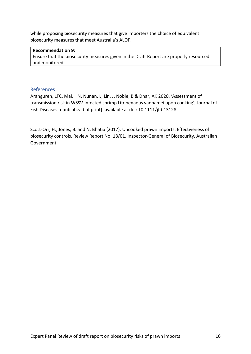while proposing biosecurity measures that give importers the choice of equivalent biosecurity measures that meet Australia's ALOP.

## **Recommendation 9:**

Ensure that the biosecurity measures given in the Draft Report are properly resourced and monitored.

## <span id="page-15-0"></span>References

Aranguren, LFC, Mai, HN, Nunan, L, Lin, J, Noble, B & Dhar, AK 2020, 'Assessment of transmission risk in WSSV‐infected shrimp Litopenaeus vannamei upon cooking', Journal of Fish Diseases [epub ahead of print]. available at doi: 10.1111/jfd.13128

Scott-Orr, H., Jones, B. and N. Bhatia (2017): Uncooked prawn imports: Effectiveness of biosecurity controls. Review Report No. 18/01. Inspector-General of Biosecurity. Australian Government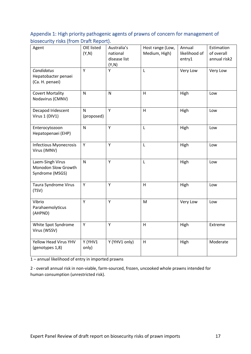# <span id="page-16-0"></span>Appendix 1: High priority pathogenic agents of prawns of concern for management of biosecurity risks (from Draft Report).

| Agent                         | OIE listed   | Australia's              | Host range (Low, | Annual        | Estimation   |
|-------------------------------|--------------|--------------------------|------------------|---------------|--------------|
|                               | (Y,N)        | national<br>disease list | Medium, High)    | likelihood of | of overall   |
|                               |              | (Y,N)                    |                  | entry1        | annual risk2 |
| Candidatus                    | Y            | Y                        | L                | Very Low      | Very Low     |
| Hepatobacter penaei           |              |                          |                  |               |              |
| (Ca. H. penaei)               |              |                          |                  |               |              |
|                               |              |                          |                  |               |              |
| <b>Covert Mortality</b>       | N            | $\mathsf{N}$             | H                | High          | Low          |
| Nodavirus (CMNV)              |              |                          |                  |               |              |
| Decapod Iridescent            | N            | Y                        | H                | High          | Low          |
| Virus 1 (DIV1)                | (proposed)   |                          |                  |               |              |
|                               |              |                          |                  |               |              |
| Enterocytozoon                | $\mathsf{N}$ | Y                        | L                | High          | Low          |
| Hepatopenaei (EHP)            |              |                          |                  |               |              |
| <b>Infectious Myonecrosis</b> | Y            | Y                        | L                | High          | Low          |
| Virus (IMNV)                  |              |                          |                  |               |              |
|                               |              |                          |                  |               |              |
| Laem-Singh Virus              | N            | Y                        | L                | High          | Low          |
| Monodon Slow Growth           |              |                          |                  |               |              |
| Syndrome (MSGS)               |              |                          |                  |               |              |
| Taura Syndrome Virus          | Y            | Y                        | H                | High          | Low          |
| (TSV)                         |              |                          |                  |               |              |
|                               |              |                          |                  |               |              |
| Vibrio                        | Y            | Y                        | M                | Very Low      | Low          |
| Parahaemolyticus              |              |                          |                  |               |              |
| (AHPND)                       |              |                          |                  |               |              |
| White Spot Syndrome           | Y            | Y                        | H                | High          | Extreme      |
| Virus (WSSV)                  |              |                          |                  |               |              |
|                               |              |                          |                  |               |              |
| Yellow Head Virus YHV         | Y (YHV1      | Y (YHV1 only)            | H                | High          | Moderate     |
| (genotypes 1,8)               | only)        |                          |                  |               |              |
|                               |              |                          |                  |               |              |

1 – annual likelihood of entry in imported prawns

2 - overall annual risk in non-viable, farm-sourced, frozen, uncooked whole prawns intended for human consumption (unrestricted risk).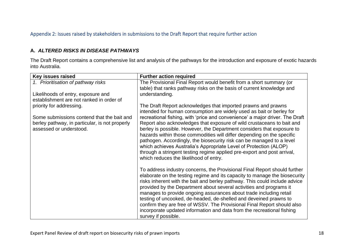# Appendix 2: Issues raised by stakeholders in submissions to the Draft Report that require further action

# **A.** *ALTERED RISKS IN DISEASE PATHWAYS*

The Draft Report contains a comprehensive list and analysis of the pathways for the introduction and exposure of exotic hazards into Australia.

<span id="page-17-0"></span>

| <b>Key issues raised</b>                                                                                                | <b>Further action required</b>                                                                                                                                                                                                                                                                                                                                                                                                                                                                                                                                                                                                      |
|-------------------------------------------------------------------------------------------------------------------------|-------------------------------------------------------------------------------------------------------------------------------------------------------------------------------------------------------------------------------------------------------------------------------------------------------------------------------------------------------------------------------------------------------------------------------------------------------------------------------------------------------------------------------------------------------------------------------------------------------------------------------------|
| 1. Prioritisation of pathway risks                                                                                      | The Provisional Final Report would benefit from a short summary (or                                                                                                                                                                                                                                                                                                                                                                                                                                                                                                                                                                 |
|                                                                                                                         | table) that ranks pathway risks on the basis of current knowledge and                                                                                                                                                                                                                                                                                                                                                                                                                                                                                                                                                               |
| Likelihoods of entry, exposure and                                                                                      | understanding.                                                                                                                                                                                                                                                                                                                                                                                                                                                                                                                                                                                                                      |
| establishment are not ranked in order of                                                                                |                                                                                                                                                                                                                                                                                                                                                                                                                                                                                                                                                                                                                                     |
| priority for addressing.                                                                                                | The Draft Report acknowledges that imported prawns and prawns<br>intended for human consumption are widely used as bait or berley for                                                                                                                                                                                                                                                                                                                                                                                                                                                                                               |
| Some submissions contend that the bait and<br>berley pathway, in particular, is not properly<br>assessed or understood. | recreational fishing, with 'price and convenience' a major driver. The Draft<br>Report also acknowledges that exposure of wild crustaceans to bait and<br>berley is possible. However, the Department considers that exposure to<br>hazards within those commodities will differ depending on the specific<br>pathogen. Accordingly, the biosecurity risk can be managed to a level<br>which achieves Australia's Appropriate Level of Protection (ALOP)<br>through a stringent testing regime applied pre-export and post arrival,<br>which reduces the likelihood of entry.                                                       |
|                                                                                                                         | To address industry concerns, the Provisional Final Report should further<br>elaborate on the testing regime and its capacity to manage the biosecurity<br>risks inherent with the bait and berley pathway. This could include advice<br>provided by the Department about several activities and programs it<br>manages to provide ongoing assurances about trade including retail<br>testing of uncooked, de-headed, de-shelled and deveined prawns to<br>confirm they are free of WSSV. The Provisional Final Report should also<br>incorporate updated information and data from the recreational fishing<br>survey if possible. |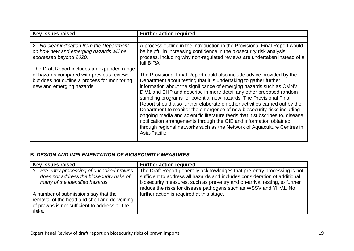| Key issues raised                                                                                                       | <b>Further action required</b>                                                                                                                                                                                                                                                                                                                                                                                                                                                                                                                                                                                                                                                                                                                                             |
|-------------------------------------------------------------------------------------------------------------------------|----------------------------------------------------------------------------------------------------------------------------------------------------------------------------------------------------------------------------------------------------------------------------------------------------------------------------------------------------------------------------------------------------------------------------------------------------------------------------------------------------------------------------------------------------------------------------------------------------------------------------------------------------------------------------------------------------------------------------------------------------------------------------|
|                                                                                                                         |                                                                                                                                                                                                                                                                                                                                                                                                                                                                                                                                                                                                                                                                                                                                                                            |
| 2. No clear indication from the Department<br>on how new and emerging hazards will be<br>addressed beyond 2020.         | A process outline in the introduction in the Provisional Final Report would<br>be helpful in increasing confidence in the biosecurity risk analysis<br>process, including why non-regulated reviews are undertaken instead of a<br>full BIRA.                                                                                                                                                                                                                                                                                                                                                                                                                                                                                                                              |
| The Draft Report includes an expanded range                                                                             |                                                                                                                                                                                                                                                                                                                                                                                                                                                                                                                                                                                                                                                                                                                                                                            |
| of hazards compared with previous reviews<br>but does not outline a process for monitoring<br>new and emerging hazards. | The Provisional Final Report could also include advice provided by the<br>Department about testing that it is undertaking to gather further<br>information about the significance of emerging hazards such as CMNV,<br>DIV1 and EHP and describe in more detail any other proposed random<br>sampling programs for potential new hazards. The Provisional Final<br>Report should also further elaborate on other activities carried out by the<br>Department to monitor the emergence of new biosecurity risks including<br>ongoing media and scientific literature feeds that it subscribes to, disease<br>notification arrangements through the OIE and information obtained<br>through regional networks such as the Network of Aquaculture Centres in<br>Asia-Pacific. |

# **B**. *DESIGN AND IMPLEMENTATION OF BIOSECURITY MEASURES*

| <b>Key issues raised</b>                                                                                                                         | <b>Further action required</b>                                                                                                                                                                                                                                                                           |
|--------------------------------------------------------------------------------------------------------------------------------------------------|----------------------------------------------------------------------------------------------------------------------------------------------------------------------------------------------------------------------------------------------------------------------------------------------------------|
| 3. Pre entry processing of uncooked prawns<br>does not address the biosecurity risks of<br>many of the identified hazards.                       | The Draft Report generally acknowledges that pre-entry processing is not<br>sufficient to address all hazards and includes consideration of additional<br>biosecurity measures, such as pre-entry and on-arrival testing, to further<br>reduce the risks for disease pathogens such as WSSV and YHV1. No |
| A number of submissions say that the<br>removal of the head and shell and de-veining<br>of prawns is not sufficient to address all the<br>risks. | further action is required at this stage.                                                                                                                                                                                                                                                                |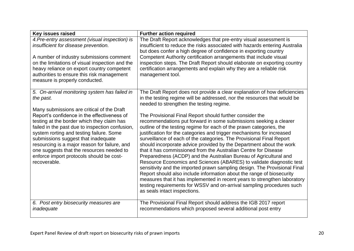| <b>Key issues raised</b>                                                                  | <b>Further action required</b>                                                                                                                                                                                       |
|-------------------------------------------------------------------------------------------|----------------------------------------------------------------------------------------------------------------------------------------------------------------------------------------------------------------------|
| 4. Pre-entry assessment (visual inspection) is<br>insufficient for disease prevention.    | The Draft Report acknowledges that pre-entry visual assessment is<br>insufficient to reduce the risks associated with hazards entering Australia<br>but does confer a high degree of confidence in exporting country |
| A number of industry submissions comment                                                  | Competent Authority certification arrangements that include visual                                                                                                                                                   |
| on the limitations of visual inspection and the                                           | inspection steps. The Draft Report should elaborate on exporting country                                                                                                                                             |
| heavy reliance on export country competent<br>authorities to ensure this risk management  | certification arrangements and explain why they are a reliable risk<br>management tool.                                                                                                                              |
| measure is properly conducted.                                                            |                                                                                                                                                                                                                      |
|                                                                                           |                                                                                                                                                                                                                      |
| 5. On-arrival monitoring system has failed in<br>the past.                                | The Draft Report does not provide a clear explanation of how deficiencies<br>in the testing regime will be addressed, nor the resources that would be<br>needed to strengthen the testing regime.                    |
| Many submissions are critical of the Draft                                                |                                                                                                                                                                                                                      |
| Report's confidence in the effectiveness of<br>testing at the border which they claim has | The Provisional Final Report should further consider the<br>recommendations put forward in some submissions seeking a clearer                                                                                        |
| failed in the past due to inspection confusion,                                           | outline of the testing regime for each of the prawn categories, the                                                                                                                                                  |
| system rorting and testing failure. Some                                                  | justification for the categories and trigger mechanisms for increased                                                                                                                                                |
| submissions suggest that inadequate                                                       | surveillance of each of the categories. The Provisional Final Report                                                                                                                                                 |
| resourcing is a major reason for failure, and                                             | should incorporate advice provided by the Department about the work                                                                                                                                                  |
| one suggests that the resources needed to<br>enforce import protocols should be cost-     | that it has commissioned from the Australian Centre for Disease<br>Preparedness (ACDP) and the Australian Bureau of Agricultural and                                                                                 |
| recoverable.                                                                              | Resource Economics and Sciences (ABARES) to validate diagnostic test                                                                                                                                                 |
|                                                                                           | sensitivity and the imported prawn sampling design. The Provisional Final                                                                                                                                            |
|                                                                                           | Report should also include information about the range of biosecurity                                                                                                                                                |
|                                                                                           | measures that it has implemented in recent years to strengthen laboratory                                                                                                                                            |
|                                                                                           | testing requirements for WSSV and on-arrival sampling procedures such                                                                                                                                                |
|                                                                                           | as seals intact inspections.                                                                                                                                                                                         |
| 6. Post entry biosecurity measures are                                                    | The Provisional Final Report should address the IGB 2017 report                                                                                                                                                      |
| inadequate                                                                                | recommendations which proposed several additional post entry                                                                                                                                                         |
|                                                                                           |                                                                                                                                                                                                                      |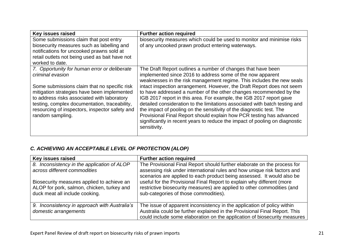| Key issues raised                                                                                                                                                                                                                                                                                                                     | <b>Further action required</b>                                                                                                                                                                                                                                                                                                                                                                                                                                                                                                                                                                                                                                                                                                                           |
|---------------------------------------------------------------------------------------------------------------------------------------------------------------------------------------------------------------------------------------------------------------------------------------------------------------------------------------|----------------------------------------------------------------------------------------------------------------------------------------------------------------------------------------------------------------------------------------------------------------------------------------------------------------------------------------------------------------------------------------------------------------------------------------------------------------------------------------------------------------------------------------------------------------------------------------------------------------------------------------------------------------------------------------------------------------------------------------------------------|
| Some submissions claim that post entry<br>biosecurity measures such as labelling and<br>notifications for uncooked prawns sold at<br>retail outlets not being used as bait have not<br>worked to date.                                                                                                                                | biosecurity measures which could be used to monitor and minimise risks<br>of any uncooked prawn product entering waterways.                                                                                                                                                                                                                                                                                                                                                                                                                                                                                                                                                                                                                              |
| 7. Opportunity for human error or deliberate<br>criminal evasion<br>Some submissions claim that no specific risk<br>mitigation strategies have been implemented<br>to address risks associated with laboratory<br>testing, complex documentation, traceability,<br>resourcing of inspectors, inspector safety and<br>random sampling. | The Draft Report outlines a number of changes that have been<br>implemented since 2016 to address some of the now apparent<br>weaknesses in the risk management regime. This includes the new seals<br>intact inspection arrangement. However, the Draft Report does not seem<br>to have addressed a number of the other changes recommended by the<br>IGB 2017 report in this area. For example, the IGB 2017 report gave<br>detailed consideration to the limitations associated with batch testing and<br>the impact of pooling on the sensitivity of the diagnostic test. The<br>Provisional Final Report should explain how PCR testing has advanced<br>significantly in recent years to reduce the impact of pooling on diagnostic<br>sensitivity. |

# *C. ACHIEVING AN ACCEPTABLE LEVEL OF PROTECTION (ALOP)*

| Key issues raised                                                            | <b>Further action required</b>                                                                                                                     |
|------------------------------------------------------------------------------|----------------------------------------------------------------------------------------------------------------------------------------------------|
| 8. Inconsistency in the application of ALOP                                  | The Provisional Final Report should further elaborate on the process for                                                                           |
| across different commodities                                                 | assessing risk under international rules and how unique risk factors and<br>scenarios are applied to each product being assessed. It would also be |
| Biosecurity measures applied to achieve an                                   | useful for the Provisional Final Report to explain why different (more                                                                             |
| ALOP for pork, salmon, chicken, turkey and<br>duck meat all include cooking. | restrictive biosecurity measures) are applied to other commodities (and<br>sub-categories of those commodities).                                   |
|                                                                              |                                                                                                                                                    |
| 9. Inconsistency in approach with Australia's                                | The issue of apparent inconsistency in the application of policy within                                                                            |
| domestic arrangements                                                        | Australia could be further explained in the Provisional Final Report. This                                                                         |
|                                                                              | could include some elaboration on the application of biosecurity measures                                                                          |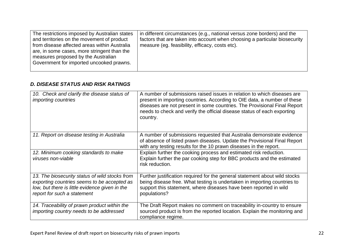# *D. DISEASE STATUS AND RISK RATINGS*

| 10. Check and clarify the disease status of<br><i>importing countries</i>                                                                                                      | A number of submissions raised issues in relation to which diseases are<br>present in importing countries. According to OIE data, a number of these<br>diseases are not present in some countries. The Provisional Final Report<br>needs to check and verify the official disease status of each exporting<br>country. |
|--------------------------------------------------------------------------------------------------------------------------------------------------------------------------------|------------------------------------------------------------------------------------------------------------------------------------------------------------------------------------------------------------------------------------------------------------------------------------------------------------------------|
| 11. Report on disease testing in Australia                                                                                                                                     | A number of submissions requested that Australia demonstrate evidence<br>of absence of listed prawn diseases. Update the Provisional Final Report<br>with any testing results for the 10 prawn diseases in the report.                                                                                                 |
| 12. Minimum cooking standards to make<br>viruses non-viable                                                                                                                    | Explain further the cooking process and estimated risk reduction.<br>Explain further the par cooking step for BBC products and the estimated<br>risk reduction.                                                                                                                                                        |
| 13. The biosecurity status of wild stocks from<br>exporting countries seems to be accepted as<br>low, but there is little evidence given in the<br>report for such a statement | Further justification required for the general statement about wild stocks<br>being disease free. What testing is undertaken in importing countries to<br>support this statement, where diseases have been reported in wild<br>populations?                                                                            |
| 14. Traceability of prawn product within the<br>importing country needs to be addressed                                                                                        | The Draft Report makes no comment on traceability in-country to ensure<br>sourced product is from the reported location. Explain the monitoring and<br>compliance regime.                                                                                                                                              |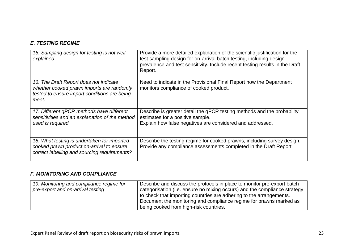# *E. TESTING REGIME*

| 15. Sampling design for testing is not well<br>explained                                                                                     | Provide a more detailed explanation of the scientific justification for the<br>test sampling design for on-arrival batch testing, including design<br>prevalence and test sensitivity. Include recent testing results in the Draft<br>Report. |
|----------------------------------------------------------------------------------------------------------------------------------------------|-----------------------------------------------------------------------------------------------------------------------------------------------------------------------------------------------------------------------------------------------|
| 16. The Draft Report does not indicate<br>whether cooked prawn imports are randomly<br>tested to ensure import conditions are being<br>meet. | Need to indicate in the Provisional Final Report how the Department<br>monitors compliance of cooked product.                                                                                                                                 |
| 17. Different gPCR methods have different<br>sensitivities and an explanation of the method<br>used is required                              | Describe is greater detail the qPCR testing methods and the probability<br>estimates for a positive sample.<br>Explain how false negatives are considered and addressed.                                                                      |
| 18. What testing is undertaken for imported<br>cooked prawn product on-arrival to ensure<br>correct labelling and sourcing requirements?     | Describe the testing regime for cooked prawns, including survey design.<br>Provide any compliance assessments completed in the Draft Report                                                                                                   |

# *F. MONITORING AND COMPLIANCE*

| 19. Monitoring and compliance regime for<br>pre-export and on-arrival testing | Describe and discuss the protocols in place to monitor pre-export batch<br>categorisation (i.e. ensure no mixing occurs) and the compliance strategy<br>to check that importing countries are adhering to the arrangements.<br>Document the monitoring and compliance regime for prawns marked as |
|-------------------------------------------------------------------------------|---------------------------------------------------------------------------------------------------------------------------------------------------------------------------------------------------------------------------------------------------------------------------------------------------|
|                                                                               | being cooked from high-risk countries.                                                                                                                                                                                                                                                            |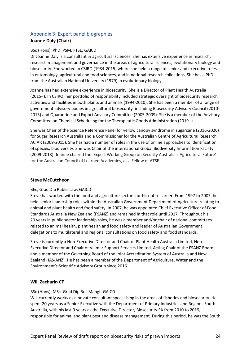# <span id="page-23-0"></span>Appendix 3: Expert panel biographies **Joanne Daly (Chair)**

#### BSc (Hons), PhD, PSM, FTSE, GAICD

Dr Joanne Daly is a consultant in agricultural sciences. She has extensive experience in research, research management and governance in the areas of agricultural sciences, evolutionary biology and biosecurity. She worked in CSIRO (1984-2015) where she held a range of senior and executive roles in entomology, agricultural and food sciences, and in national research collections. She has a PhD from the Australian National University (1979) in evolutionary biology.

Joanne has had extensive experience in biosecurity. She is a Director of Plant Health Australia (2015- ). In CSIRO, her portfolio of responsibility included strategic oversight of biosecurity research activities and facilities in both plants and animals (1994-2010). She has been a member of a range of government advisory bodies in agricultural biosecurity, including Biosecurity Advisory Council (2010- 2013) and Quarantine and Export Advisory Committee (2005-2009). She is a member of the Advisory Committee on Chemical Scheduling for the Therapeutic Goods Administration (2019- ).

She was Chair of the Science Reference Panel for yellow canopy syndrome in sugarcane (2016-2020) for Sugar Research Australia and a Commissioner for the Australian Centre of Agricultural Research, ACIAR (2009-2015). She has had a number of roles in the use of online approaches to identification of species, biodiversity. She was Chair of the international Global Biodiversity Information Facility (2009-2013). Joanne chaired the 'Expert Working Group on Security Australia's Agricultural Future' for the Australian Council of Learned Academies, as a Fellow of ATSE.

#### **Steve McCutcheon**

#### BEc, Grad Dip Public Law, GAICD

Steve has worked with the food and agriculture sectors for his entire career. From 1997 to 2007, he held senior leadership roles within the Australian Government Department of Agriculture relating to animal and plant health and food safety. In 2007, he was appointed Chief Executive Officer of Food Standards Australia New Zealand (FSANZ) and remained in that role until 2017. Throughout his 20 years in public sector leadership roles, he was a member and/or chair of national committees related to animal health, plant health and food safety and leader of Australian Government delegations to multilateral and regional consultations on food safety and food standards.

Steve is currently a Non-Executive Director and Chair of Plant Health Australia Limited, Non-Executive Director and Chair of Valmar Support Services Limited, Acting Chair of the FSANZ Board and a member of the Governing Board of the Joint Accreditation System of Australia and New Zealand (JAS-ANZ). He has been a member of the Department of Agriculture, Water and the Environment's Scientific Advisory Group since 2016.

#### **Will Zacharin CF**

#### BSc (Hons), MSc, Grad Dip Bus Mangt, GAICD

Will currently works as a private consultant specialising in the areas of fisheries and biosecurity. He spent 20 years as a Senior Executive with the Department of Primary Industries and Regions South Australia, with his last 9 years as the Executive Director, Biosecurity SA from 2010 to 2019, responsible for animal and plant pest and disease management. During this period, he was the South